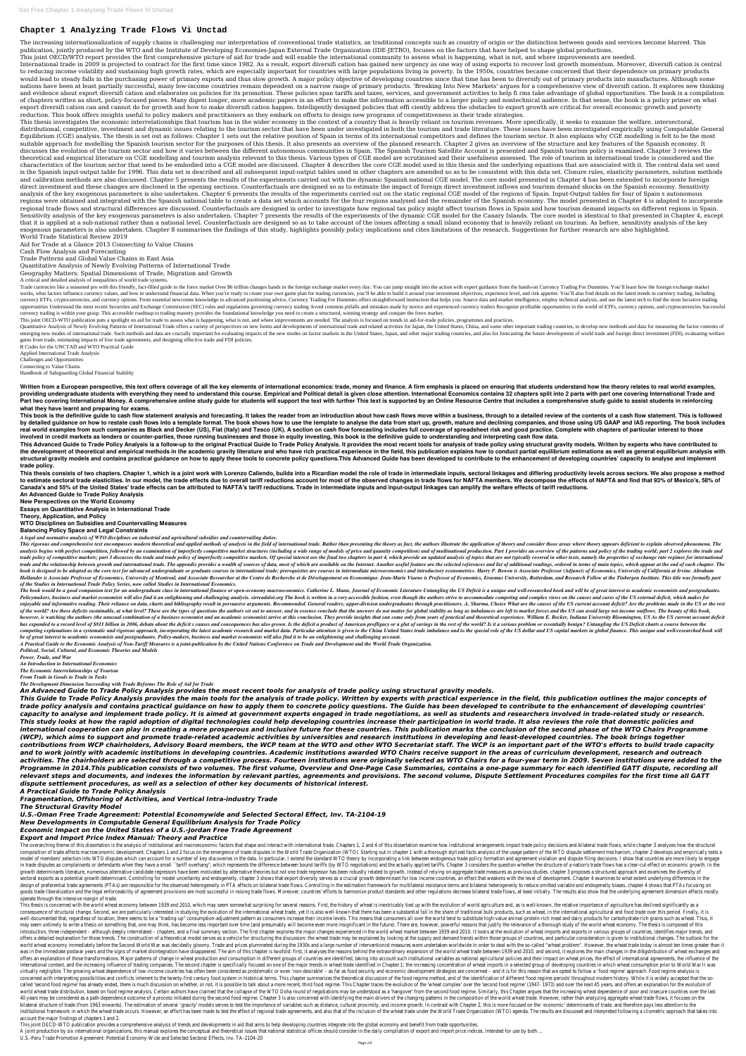# **Chapter 1 Analyzing Trade Flows Vi Unctad**

The increasing internationalization of supply chains is challenging our interpretation of conventional trade statistics, as traditional concepts such as country of origin or the distinction between goods and services becom publication, jointly produced by the WTO and the Institute of Developing Economies-Japan External Trade Organization (IDE-JETRO), focuses on the factors that have helped to shape global productions.

This ioint OECD/WTO report provides the first comprehensive picture of aid for trade and will enable the international community to assess what is happening, what is not, and where improvements are needed.

International trade in 2009 is projected to contract for the first time since 1982. As a result, export diversifi cation has gained new urgency as one way of using exports to recover lost growth momentum. Moreover, diversi to reducing income volatility and sustaining high growth rates, which are especially important for countries with large populations living in poverty. In the 1950s, countries became concerned that their dependence on prima would lead to steady falls in the purchasing power of primary exports and thus slow growth. A major policy objective of developing countries since that time has been to diversify out of primary products into manufactures. nations have been at least partially successful, many low-income countries remain dependent on a narrow range of primary products. 'Breaking Into New Markets' argues for a comprehensive view of diversifi cation. It explore and evidence about export diversifi cation and elaborates on policies for its promotion. These policies span tariffs and taxes, services, and government activities to help fi rms take advantage of global opportunities. The of chapters written as short, policy-focused pieces. Many digest longer, more academic papers in an effort to make the information accessible to a larger policy and nontechnical audience. In that sense, the book is a polic export diversifi cation can and cannot do for growth and how to make diversifi cation happen. Intelligently designed policies that effi ciently address the obstacles to export growth are critical for overall economic growt reduction. This book offers insights useful to policy makers and practitioners as they embark on efforts to design new programs of competitiveness in their trade strategies.

This thesis investigates the economic interrelationships that tourism has in the wider economy in the context of a country that is heavily reliant on tourism revenues. More specifically, it seeks to examine the welfare, in distributional, competitive, investment and dynamic issues relating to the tourism sector that have been under investigated in both the tourism and trade literature. These issues have been investigated empirically using Co Equilibrium (CGE) analysis. The thesis is set out as follows: Chapter 1 sets out the relative position of Spain in terms of its international competitors and defines the tourism sector. It also explains why CGE modelling i suitable approach for modelling the Spanish tourism sector for the purposes of this thesis. It also presents an overview of the planned research. Chapter 2 gives an overview of the structure and key features of the Spanish discusses the evolution of the tourism sector and how it varies between the different autonomous communities in Spain. The Spanish Tourism Satellite Account is presented and Spanish tourism policy is examined. Chapter 3 re theoretical and empirical literature on CGE modelling and tourism analysis relevant to this thesis. Various types of CGE model are scrutinised and their usefulness assessed. The role of tourism in international trade is co characteristics of the tourism sector that need to be embodied into a CGE model are discussed. Chapter 4 describes the core CGE model used in this thesis and the underlying equations that are associated with it. The centra is the Spanish input-output table for 1996. This data set is described and all subsequent input-output tables used in other chapters are amended so as to be consistent with this data set. Closure rules, elasticity paramete and calibration methods are also discussed. Chapter 5 presents the results of the experiments carried out with the dynamic Spanish national CGE model. The core model presented in Chapter 4 has been extended to incorporate direct investment and these changes are disclosed in the opening sections. Counterfactuals are designed so as to estimate the impact of foreign direct investment inflows and tourism demand shocks on the Spanish economy. Se analysis of the key exogenous parameters is also undertaken. Chapter 6 presents the results of the experiments carried out on the static regional CGE model of the regions of Spain. Input-Output tables for four of Spain s a regions were obtained and integrated with the Spanish national table to create a data set which accounts for the four regions analysed and the remainder of the Spanish economy. The model presented in Chapter 4 is adapted t regional trade flows and structural differences are discussed. Counterfactuals are designed in order to investigate how regional tax policy might affect tourism flows in Spain and how tourism demand impacts on different re Sensitivity analysis of the key exogenous parameters is also undertaken. Chapter 7 presents the results of the experiments of the dynamic CGE model for the Canary Islands. The core model is identical to that presented in C that it is applied at a sub-national rather than a national level. Counterfactuals are designed so as to take account of the issues affecting a small island economy that is heavily reliant on tourism. As before, sensitivit exogenous parameters is also undertaken. Chapter 8 summarises the findings of this study, highlights possibly policy implications and cites limitations of the research. Suggestions for further research are also highlighted. World Trade Statistical Review 2019

Trade currencies like a seasoned pro with this friendly, fact-filled guide to the forex market Over \$6 trillion changes hands in the foreign exchange market every day. You can jump straight into the action with expert guid works, what factors influence currency values, and how to understand financial data. When you're ready to create your own game plan for trading currencies, you'll be able to build it around your investment objectives, expe currency ETFs, cryptocurrencies, and currency options. From essential newcomer knowledge to advanced positioning advice, Currency Trading For Dummies offers straightforward instruction that helps you: Source data and marke opportunities Understand the most recent Securities and Exchange Commission (SEC) rules and regulations governing currency trading Avoid common pitfalls and mistakes made by novice and experienced currency traders Recogniz currency trading is within your grasp. This accessible roadmap to trading mastery provides the foundational knowledge you need to create a structured, winning strategy and conquer the forex market.

This joint OECD-WTO publication puts a spotlight on aid for trade to assess what is happening, what is not, and where improvements are needed. The analysis is focused on trends in aid-for-trade policies, programmes and pra

Quantitative Analysis of Newly Evolving Patterns of International Trade offers a variety of perspectives on new forms and developments of international trade and related activities for Japan, the United States, China, and emerging new modes of international trade. Such methods and data are crucially important for evaluating impacts of the new modes on factor markets in the United States, Japan, and other major trading countries, and also fo gains from trade, estimating impacts of free trade agreements, and designing effective trade and FDI policies.

Part two covering International Money. A comprehensive online study guide for students will support the text with further This text is supported by an Online Resource Centre that includes a comprehensive study guide to ass **what they have learnt and preparing for exams.**

This book is the definitive quide to cash flow statement analysis and forecasting. It takes the reader from an introduction about how cash flows move within a business, through to a detailed review of the contents of a cas by detailed guidance on how to restate cash flows into a template format. The book shows how to use the template to analyse the data from start up, growth, mature and declining companies, and those using US GAAP and IAS re real world examples from such companies as Black and Decker (US), Fiat (Italy) and Tesco (UK). A section on cash flow forecasting includes full coverage of spreadsheet risk and good practice. Complete with chapters of part **involved in credit markets as lenders or counter-parties, those running businesses and those in equity investing, this book is the definitive guide to understanding and interpreting cash flow data.**

This Advanced Guide to Trade Policy Analysis is a follow-up to the original Practical Guide to Trade Policy Analysis. It provides the most recent tools for analysis of trade policy using structural gravity models. Written the development of theoretical and empirical methods in the academic gravity literature and who have rich practical experience in the field, this publication explains how to conduct partial equilibrium estimations as well structural gravity models and contains practical quidance on how to apply these tools to concrete policy questions. This Advanced Guide has been developed to contribute to the enhancement of developing countries' capacity **trade policy.**

This thesis consists of two chapters. Chapter 1, which is a joint work with Lorenzo Caliendo, builds into a Ricardian model the role of trade in intermediate inputs, sectoral linkages and differing productivity levels acro to estimate sectoral trade elasticities. In our model, the trade effects due to overall tariff reductions account for most of the observed changes in trade flows for NAFTA members. We decompose the effects of NAFTA and fin **Canada's and 55% of the United States' trade effects can be attributed to NAFTA's tariff reductions. Trade in intermediate inputs and input-output linkages can amplify the welfare effects of tariff reductions.**

Aid for Trade at a Glance 2013 Connecting to Value Chains

Cash Flow Analysis and Forecasting

Trade Patterns and Global Value Chains in East Asia

Quantitative Analysis of Newly Evolving Patterns of International Trade

Geography Matters: Spatial Dimensions of Trade, Migration and Growth

A critical and detailed analysis of inequalities of world trade systems.

This rigorous and comprehensive text encompasses modern theoretical and applied methods of analysis in the field of international trade. Rather than presenting the authors illustrate the application of theory and consider analysis begins with perfect competition, followed by an examination of imperfectly competitive market structures (including a wide range of models of price and quantity competition) and of multinational production. Part 1 trade policy of competitive markets; part 3 discusses the trade and trade policy of imperfectly competitive markets. Of special interest are the final two chapters in part 4, which provide an updated analysis of topics tha trade and the relationship between growth and international trade. The appendix provides a wealth of sources of data, most of which are available on the Internet. Another useful feature are the selected references and list book is designed to be adopted as the core text for advanced undergraduate or graduate courses in international trade; prerequisites are courses in intermediate microeconomics and introductory econometrics. Harry P. Bowen Hollander is Associate Professor of Economics, University of Montreal, and Associate Researcher at the Centre de Recherche et de Développement en Economique. Jean-Marie Viaene is Professor of Economics, Erasmus University, *of the Studies in International Trade Policy Series, now called Studies in International Economics.*

The book would be a good companion text for an undergraduate class in international finance or open-economy macroeconomics. Catherine L. Mann, Journal of Economic Literature Untangling the US Deficit is a unique and well-r Policymakers, business and market economists will also find it an enlightening and challenging analysis. sirreadalot.org The book is written in a very accessible fashion, even though the authors strive to accommodate compe enjoyable and informative reading. Their reliance on data, charts and bibliography result in persuasive arguments. Recommended. General readers; upper-division undergraduates through practitioners. A. Sharma, Choice What a of the world? Are these deficits sustainable, at what level? These are the types of questions the authors set out to answer, and in essence conclude that the answers do not matter for global stability as long as imbalances however, is watching the authors (the unusual combination of a business economist and an academic economist) arrive at this conclusion. They provide insights that can come only from years of practical and theoretical exper has expanded to a record level of \$811 billion in 2006, debate about the deficit s causes and consequences has also grown. Is the deficit a product of American profligacy or a glut of savings in the rest of the world? Is i competing explanations in a systematic and rigorous approach, incorporating the latest academic research and market data. Particular attention is given to the China United States trade imbalance and to the special role of *be of great interest to academic economists and postgraduates. Policy-makers, business and market economists will also find it to be an enlightening and challenging account.*

R Codes for the UNCTAD and WTO Practical Guide Applied International Trade Analysis Challenges and Opportunities Connecting to Value Chains Handbook of Safeguarding Global Financial Stability

Written from a European perspective, this text offers coverage of all the key elements of international economics: trade, money and finance. A firm emphasis is placed on ensuring that students understand how the theory rel providing undergraduate students with everything they need to understand this course. Empirical and Political detail is given close attention. International Economics contains 32 chapters split into 2 parts with part one c

The overarching theme of this dissertation is the analysis of institutional and macroeconomic factors that shape and interact with international trade. Chapters 1, 2 and 4 of this dissertation examine how institutional arr composition of trade affects macroeconomic development. Chapters 1 and 2 focus on the emergence of trade disputes in the World Trade Organization (WTO). Starting out in chapter 1 with a thorough stylized facts analysis of model of members' selection into WTO disputes which can account for a number of key discoveries in the data. In particular, I extend the standard WTO theory by incorporating a link between endogenous trade policy formation in trade disputes as complainants or defendants when they have a small ``tariff overhang", which represents the difference between bound tariffs (by WTO negotiations) and the actually applied tariffs. Chapter 3 considers t growth determinants literature, numerous alternative candidate regressors have been motivated by alternative theories but not one trade regressor has been robustly related to growth. Instead of relying on aggregate trade m sectoral exports as a potential growth determinant. Controlling for model uncertainty and endogeneity, chapter 3 shows that export diversity serves as a crucial growth determinant for low income countries, an effect that w design of preferential trade agreements (PTAs) are responsible for the observed heterogeneity in PTA effects on bilateral trade flows. Controlling in the estimation framework for multilateral resistance terms and bilateral goods trade liberalization and the legal enforceability of agreement provisions are most successful in raising trade flows. Moreover, countries' efforts to harmonize product standards and other regulations decrease bilater operate through the intensive margin of trade.

**An Advanced Guide to Trade Policy Analysis New Perspectives on the World Economy Essays on Quantitative Analysis in International Trade Theory, Application, and Policy WTO Disciplines on Subsidies and Countervailing Measures Balancing Policy Space and Legal Constraints** *A legal and normative analysis of WTO disciplines on industrial and agricultural subsidies and countervailing duties.*

This thesis is concerned with the world wheat economy between 1939 and 2010, which may seem somewhat surprising for several reasons. First, the history of wheat is inextricably tied up with the evolution of world agricultu consequence of structural change. Second, we are particularly interested in studying the evolution of the international wheat trade, yet it is also well-known that there has been a substantial fall in the share of traditio well-documented that, regardless of location, there seems to be a "trading-up" consumption-adjustment pattern as consumers increase their income levels. This means that consumers all over the world tend to substitute highmay seem untimely to write a thesis on something that, one may think, has become less important over time (and presumably will become even more insignificant in the future). There are, however, powerful reasons that justif introduction, three independent – although deeply interrelated – chapters, and a final summary section. The first chapter explores the major changes experienced in the world wheat market between 1939 and 2010. It looks at offers a detailed explanation for those trends. The construction of a theoretical model serves as a vehicle for structuring the discussion: the wheat trade may be explained by looking at the supply and demand trends within world wheat economy immediately before the Second World War was decidedly gloomy. Trade and prices plummeted during the 1930s and a large number of interventionist measures were undertaken worldwide in order to deal with t was in the immediate postwar years and the signs of market disintegration have disappeared. The aim of this chapter is twofold: first, it analyses the reasons behind the extraordinary expansion of the world wheat trade bet offers an explanation of those transformations. Major patterns of change in wheat production and consumption in different groups of countries are identified, taking into account such institutional variables as national agr international context, and the increasing influence of trading companies. The second chapter is specifically focused on one of the major trends in wheat trade identified in Chapter 1: the increasing concentration of wheat virtually negligible. The growing wheat dependence of low-income countries has often been considered as problematic or even 'non-desirable' - as far as food security and economic development strategies are concerned - and concerned with interpreting possibilities and conflicts inherent to the twenty-first century food system in historical terms. This chapter summarizes the theoretical discussion of the food regime method, and of the identif called 'second food regime' has already ended, there is much discussion on whether, or not, it is possible to talk about a more recent, third food regime. This Chapter traces the evolution of the 'wheat complex' over the ' world wheat trade distribution, based on food regime analysis. Certain authors have claimed that the collapse of the WTO Doha round of negotiations may be understood as a 'hangover' from the second food regime. Similarly, 40 years may be considered as a path-dependence outcome of a process initiated during the second food regime. Chapter 3 is also concerned with identifying the main drivers of the changing patterns in the composition of the bilateral structure of trade (from 1963 onwards). The estimation of several 'gravity' models serves to test the importance of variables such as distance, cultural proximity, and income growth. In contrast with Chapter 2, t institutional framework in which the wheat trade occurs. However, an effort has been made to test the effect of regional trade agreements, and also that of the inclusion of the wheat trade under the World Trade Organizatio account the major findings of chapters 1 and 2.

This joint OECD-WTO publication provides a comprehensive analysis of trends and developments in aid that aims to help developing countries integrate into the global economy and benefit from trade opportunities.

A joint production by six international organizations, this manual explores the conceptual and theoretical issues that national statistical offices should consider in the daily compilation of export and import price indice U.S.-Peru Trade Promotion Agreement: Potential Economy-Wide and Selected Sectoral Effects, Inv. TA-2104-20

*A Practical Guide to the Economic Analysis of Non-Tariff Measures is a joint-publication by the United Nations Conference on Trade and Development and the World Trade Organization.*

*Political, Social, Cultural, and Economic Theories and Models*

*Power, Trade, and War*

*An Introduction to International Economics*

*The Economic Interrelationships of Tourism*

*From Trade in Goods to Trade in Tasks*

*The Development Dimension Succeeding with Trade Reforms The Role of Aid for Trade*

*An Advanced Guide to Trade Policy Analysis provides the most recent tools for analysis of trade policy using structural gravity models.*

*This Guide to Trade Policy Analysis provides the main tools for the analysis of trade policy. Written by experts with practical experience in the field, this publication outlines the major concepts of trade policy analysis and contains practical guidance on how to apply them to concrete policy questions. The Guide has been developed to contribute to the enhancement of developing countries' capacity to analyse and implement trade policy. It is aimed at government experts engaged in trade negotiations, as well as students and researchers involved in trade-related study or research. This study looks at how the rapid adoption of digital technologies could help developing countries increase their participation in world trade. It also reviews the role that domestic policies and international cooperation can play in creating a more prosperous and inclusive future for these countries. This publication marks the conclusion of the second phase of the WTO Chairs Programme (WCP), which aims to support and promote trade-related academic activities by universities and research institutions in developing and least-developed countries. The book brings together contributions from WCP chairholders, Advisory Board members, the WCP team at the WTO and other WTO Secretariat staff. The WCP is an important part of the WTO's efforts to build trade capacity and to work jointly with academic institutions in developing countries. Academic institutions awarded WTO Chairs receive support in the areas of curriculum development, research and outreach activities. The chairholders are selected through a competitive process. Fourteen institutions were originally selected as WTO Chairs for a four-year term in 2009. Seven institutions were added to the Programme in 2014.This publication consists of two volumes. The first volume, Overview and One-Page Case Summaries, contains a one-page summary for each identified GATT dispute, recording all relevant steps and documents, and indexes the information by relevant parties, agreements and provisions. The second volume, Dispute Settlement Procedures compiles for the first time all GATT dispute settlement procedures, as well as a selection of other key documents of historical interest.*

*A Practical Guide to Trade Policy Analysis*

#### *Fragmentation, Offshoring of Activities, and Vertical Intra-industry Trade*

*The Structural Gravity Model*

### *U.S.-Oman Free Trade Agreement: Potential Economywide and Selected Sectoral Effect, Inv. TA-2104-19*

# *New Developments in Computable General Equilibrium Analysis for Trade Policy*

# *Economic Impact on the United States of a U.S.-Jordan Free Trade Agreement*

# *Export and Import Price Index Manual: Theory and Practice*